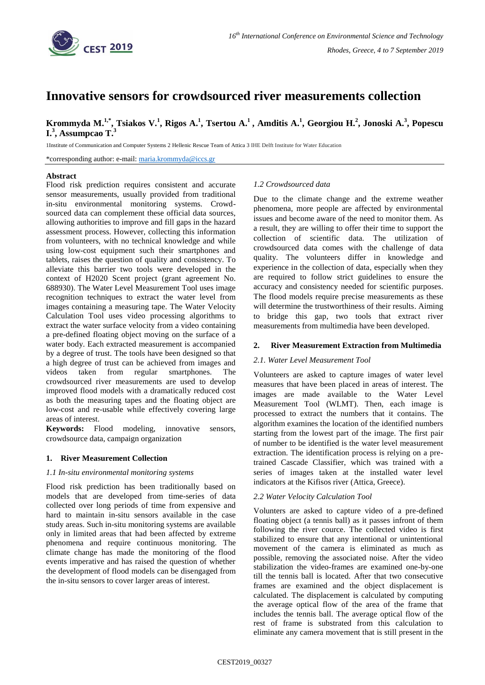

# **Innovative sensors for crowdsourced river measurements collection**

Krommyda M.<sup>1,\*</sup>, Tsiakos V.<sup>1</sup>, Rigos A.<sup>1</sup>, Tsertou A.<sup>1</sup>, Amditis A.<sup>1</sup>, Georgiou H.<sup>2</sup>, Jonoski A.<sup>3</sup>, Popescu **I. 3 , Assumpcao T.<sup>3</sup>**

1Institute of Communication and Computer Systems 2 Hellenic Rescue Team of Attica 3 IHE Delft Institute for Water Education

\*corresponding author: e-mail: [maria.krommyda@iccs.gr](mailto:maria.krommyda@iccs.gr)

## **Abstract**

Flood risk prediction requires consistent and accurate sensor measurements, usually provided from traditional in-situ environmental monitoring systems. Crowdsourced data can complement these official data sources, allowing authorities to improve and fill gaps in the hazard assessment process. However, collecting this information from volunteers, with no technical knowledge and while using low-cost equipment such their smartphones and tablets, raises the question of quality and consistency. To alleviate this barrier two tools were developed in the context of H2020 Scent project (grant agreement No. 688930). The Water Level Measurement Tool uses image recognition techniques to extract the water level from images containing a measuring tape. The Water Velocity Calculation Tool uses video processing algorithms to extract the water surface velocity from a video containing a pre-defined floating object moving on the surface of a water body. Each extracted measurement is accompanied by a degree of trust. The tools have been designed so that a high degree of trust can be achieved from images and videos taken from regular smartphones. The crowdsourced river measurements are used to develop improved flood models with a dramatically reduced cost as both the measuring tapes and the floating object are low-cost and re-usable while effectively covering large areas of interest.

**Keywords:** Flood modeling, innovative sensors, crowdsource data, campaign organization

## **1. River Measurement Collection**

## *1.1 In-situ environmental monitoring systems*

Flood risk prediction has been traditionally based on models that are developed from time-series of data collected over long periods of time from expensive and hard to maintain in-situ sensors available in the case study areas. Such in-situ monitoring systems are available only in limited areas that had been affected by extreme phenomena and require continuous monitoring. The climate change has made the monitoring of the flood events imperative and has raised the question of whether the development of flood models can be disengaged from the in-situ sensors to cover larger areas of interest.

## *1.2 Crowdsourced data*

Due to the climate change and the extreme weather phenomena, more people are affected by environmental issues and become aware of the need to monitor them. As a result, they are willing to offer their time to support the collection of scientific data. The utilization of crowdsourced data comes with the challenge of data quality. The volunteers differ in knowledge and experience in the collection of data, especially when they are required to follow strict guidelines to ensure the accuracy and consistency needed for scientific purposes. The flood models require precise measurements as these will determine the trustworthiness of their results. Aiming to bridge this gap, two tools that extract river measurements from multimedia have been developed.

# **2. River Measurement Extraction from Multimedia**

## *2.1. Water Level Measurement Tool*

Volunteers are asked to capture images of water level measures that have been placed in areas of interest. The images are made available to the Water Level Measurement Tool (WLMT). Then, each image is processed to extract the numbers that it contains. The algorithm examines the location of the identified numbers starting from the lowest part of the image. The first pair of number to be identified is the water level measurement extraction. The identification process is relying on a pretrained Cascade Classifier, which was trained with a series of images taken at the installed water level indicators at the Kifisos river (Attica, Greece).

## *2.2 Water Velocity Calculation Tool*

Volunters are asked to capture video of a pre-defined floating object (a tennis ball) as it passes infront of them following the river cource. The collected video is first stabilized to ensure that any intentional or unintentional movement of the camera is eliminated as much as possible, removing the associated noise. After the video stabilization the video-frames are examined one-by-one till the tennis ball is located. After that two consecutive frames are examined and the object displacement is calculated. The displacement is calculated by computing the average optical flow of the area of the frame that includes the tennis ball. The average optical flow of the rest of frame is substrated from this calculation to eliminate any camera movement that is still present in the